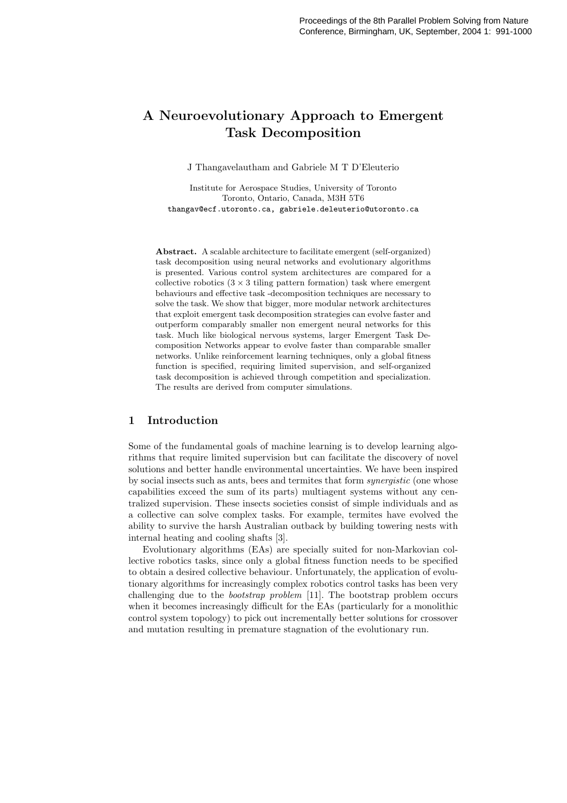# A Neuroevolutionary Approach to Emergent Task Decomposition

J Thangavelautham and Gabriele M T D'Eleuterio

Institute for Aerospace Studies, University of Toronto Toronto, Ontario, Canada, M3H 5T6 thangav@ecf.utoronto.ca, gabriele.deleuterio@utoronto.ca

Abstract. A scalable architecture to facilitate emergent (self-organized) task decomposition using neural networks and evolutionary algorithms is presented. Various control system architectures are compared for a collective robotics  $(3 \times 3)$  tiling pattern formation) task where emergent behaviours and effective task -decomposition techniques are necessary to solve the task. We show that bigger, more modular network architectures that exploit emergent task decomposition strategies can evolve faster and outperform comparably smaller non emergent neural networks for this task. Much like biological nervous systems, larger Emergent Task Decomposition Networks appear to evolve faster than comparable smaller networks. Unlike reinforcement learning techniques, only a global fitness function is specified, requiring limited supervision, and self-organized task decomposition is achieved through competition and specialization. The results are derived from computer simulations.

## 1 Introduction

Some of the fundamental goals of machine learning is to develop learning algorithms that require limited supervision but can facilitate the discovery of novel solutions and better handle environmental uncertainties. We have been inspired by social insects such as ants, bees and termites that form synergistic (one whose capabilities exceed the sum of its parts) multiagent systems without any centralized supervision. These insects societies consist of simple individuals and as a collective can solve complex tasks. For example, termites have evolved the ability to survive the harsh Australian outback by building towering nests with internal heating and cooling shafts [3].

Evolutionary algorithms (EAs) are specially suited for non-Markovian collective robotics tasks, since only a global fitness function needs to be specified to obtain a desired collective behaviour. Unfortunately, the application of evolutionary algorithms for increasingly complex robotics control tasks has been very challenging due to the bootstrap problem [11]. The bootstrap problem occurs when it becomes increasingly difficult for the EAs (particularly for a monolithic control system topology) to pick out incrementally better solutions for crossover and mutation resulting in premature stagnation of the evolutionary run.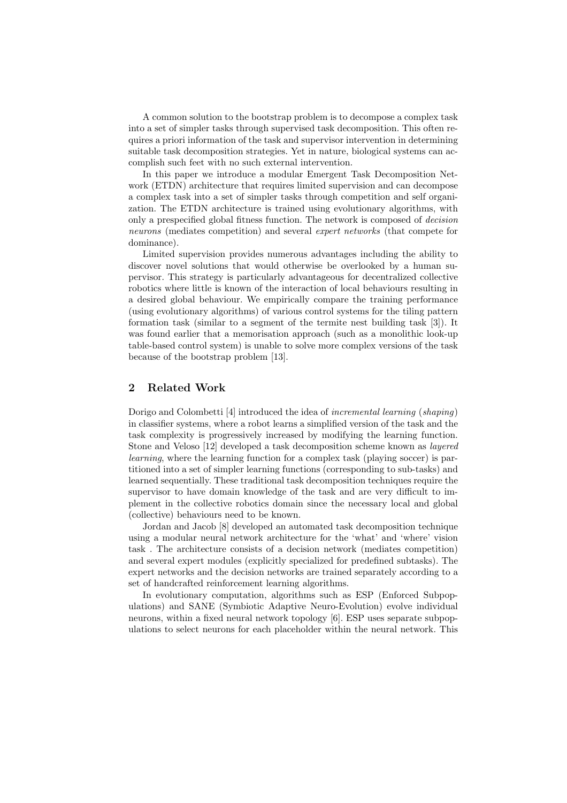A common solution to the bootstrap problem is to decompose a complex task into a set of simpler tasks through supervised task decomposition. This often requires a priori information of the task and supervisor intervention in determining suitable task decomposition strategies. Yet in nature, biological systems can accomplish such feet with no such external intervention.

In this paper we introduce a modular Emergent Task Decomposition Network (ETDN) architecture that requires limited supervision and can decompose a complex task into a set of simpler tasks through competition and self organization. The ETDN architecture is trained using evolutionary algorithms, with only a prespecified global fitness function. The network is composed of decision neurons (mediates competition) and several expert networks (that compete for dominance).

Limited supervision provides numerous advantages including the ability to discover novel solutions that would otherwise be overlooked by a human supervisor. This strategy is particularly advantageous for decentralized collective robotics where little is known of the interaction of local behaviours resulting in a desired global behaviour. We empirically compare the training performance (using evolutionary algorithms) of various control systems for the tiling pattern formation task (similar to a segment of the termite nest building task [3]). It was found earlier that a memorisation approach (such as a monolithic look-up table-based control system) is unable to solve more complex versions of the task because of the bootstrap problem [13].

#### 2 Related Work

Dorigo and Colombetti [4] introduced the idea of incremental learning (shaping) in classifier systems, where a robot learns a simplified version of the task and the task complexity is progressively increased by modifying the learning function. Stone and Veloso [12] developed a task decomposition scheme known as layered learning, where the learning function for a complex task (playing soccer) is partitioned into a set of simpler learning functions (corresponding to sub-tasks) and learned sequentially. These traditional task decomposition techniques require the supervisor to have domain knowledge of the task and are very difficult to implement in the collective robotics domain since the necessary local and global (collective) behaviours need to be known.

Jordan and Jacob [8] developed an automated task decomposition technique using a modular neural network architecture for the 'what' and 'where' vision task . The architecture consists of a decision network (mediates competition) and several expert modules (explicitly specialized for predefined subtasks). The expert networks and the decision networks are trained separately according to a set of handcrafted reinforcement learning algorithms.

In evolutionary computation, algorithms such as ESP (Enforced Subpopulations) and SANE (Symbiotic Adaptive Neuro-Evolution) evolve individual neurons, within a fixed neural network topology [6]. ESP uses separate subpopulations to select neurons for each placeholder within the neural network. This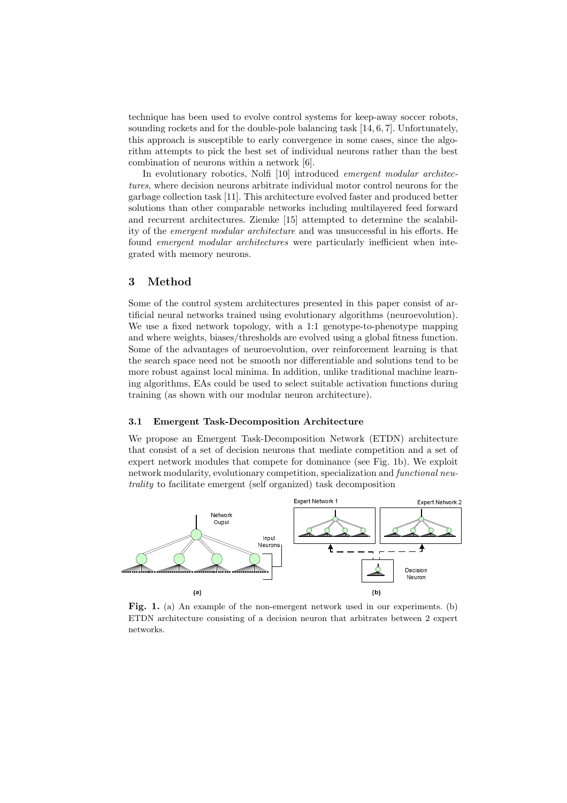technique has been used to evolve control systems for keep-away soccer robots, sounding rockets and for the double-pole balancing task [14, 6, 7]. Unfortunately, this approach is susceptible to early convergence in some cases, since the algorithm attempts to pick the best set of individual neurons rather than the best combination of neurons within a network [6].

In evolutionary robotics, Nolfi [10] introduced *emergent modular architec*tures, where decision neurons arbitrate individual motor control neurons for the garbage collection task [11]. This architecture evolved faster and produced better solutions than other comparable networks including multilayered feed forward and recurrent architectures. Ziemke [15] attempted to determine the scalability of the emergent modular architecture and was unsuccessful in his efforts. He found emergent modular architectures were particularly inefficient when integrated with memory neurons.

#### 3 Method

Some of the control system architectures presented in this paper consist of artificial neural networks trained using evolutionary algorithms (neuroevolution). We use a fixed network topology, with a 1:1 genotype-to-phenotype mapping and where weights, biases/thresholds are evolved using a global fitness function. Some of the advantages of neuroevolution, over reinforcement learning is that the search space need not be smooth nor differentiable and solutions tend to be more robust against local minima. In addition, unlike traditional machine learning algorithms, EAs could be used to select suitable activation functions during training (as shown with our modular neuron architecture).

#### 3.1 Emergent Task-Decomposition Architecture

We propose an Emergent Task-Decomposition Network (ETDN) architecture that consist of a set of decision neurons that mediate competition and a set of expert network modules that compete for dominance (see Fig. 1b). We exploit network modularity, evolutionary competition, specialization and functional neutrality to facilitate emergent (self organized) task decomposition



Fig. 1. (a) An example of the non-emergent network used in our experiments. (b) ETDN architecture consisting of a decision neuron that arbitrates between 2 expert networks.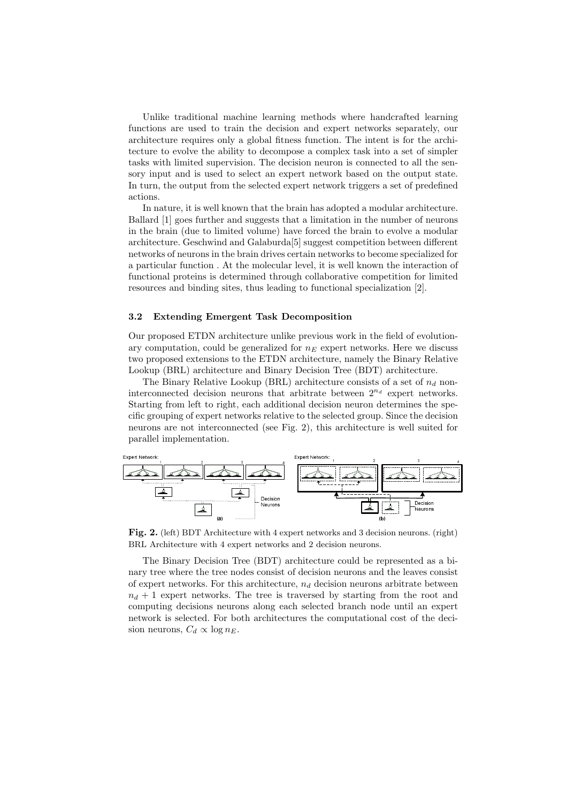Unlike traditional machine learning methods where handcrafted learning functions are used to train the decision and expert networks separately, our architecture requires only a global fitness function. The intent is for the architecture to evolve the ability to decompose a complex task into a set of simpler tasks with limited supervision. The decision neuron is connected to all the sensory input and is used to select an expert network based on the output state. In turn, the output from the selected expert network triggers a set of predefined actions.

In nature, it is well known that the brain has adopted a modular architecture. Ballard [1] goes further and suggests that a limitation in the number of neurons in the brain (due to limited volume) have forced the brain to evolve a modular architecture. Geschwind and Galaburda[5] suggest competition between different networks of neurons in the brain drives certain networks to become specialized for a particular function . At the molecular level, it is well known the interaction of functional proteins is determined through collaborative competition for limited resources and binding sites, thus leading to functional specialization [2].

#### 3.2 Extending Emergent Task Decomposition

Our proposed ETDN architecture unlike previous work in the field of evolutionary computation, could be generalized for  $n_E$  expert networks. Here we discuss two proposed extensions to the ETDN architecture, namely the Binary Relative Lookup (BRL) architecture and Binary Decision Tree (BDT) architecture.

The Binary Relative Lookup (BRL) architecture consists of a set of  $n_d$  noninterconnected decision neurons that arbitrate between  $2^{n_d}$  expert networks. Starting from left to right, each additional decision neuron determines the specific grouping of expert networks relative to the selected group. Since the decision neurons are not interconnected (see Fig. 2), this architecture is well suited for parallel implementation.



Fig. 2. (left) BDT Architecture with 4 expert networks and 3 decision neurons. (right) BRL Architecture with 4 expert networks and 2 decision neurons.

The Binary Decision Tree (BDT) architecture could be represented as a binary tree where the tree nodes consist of decision neurons and the leaves consist of expert networks. For this architecture,  $n_d$  decision neurons arbitrate between  $n_d + 1$  expert networks. The tree is traversed by starting from the root and computing decisions neurons along each selected branch node until an expert network is selected. For both architectures the computational cost of the decision neurons,  $C_d \propto \log n_E$ .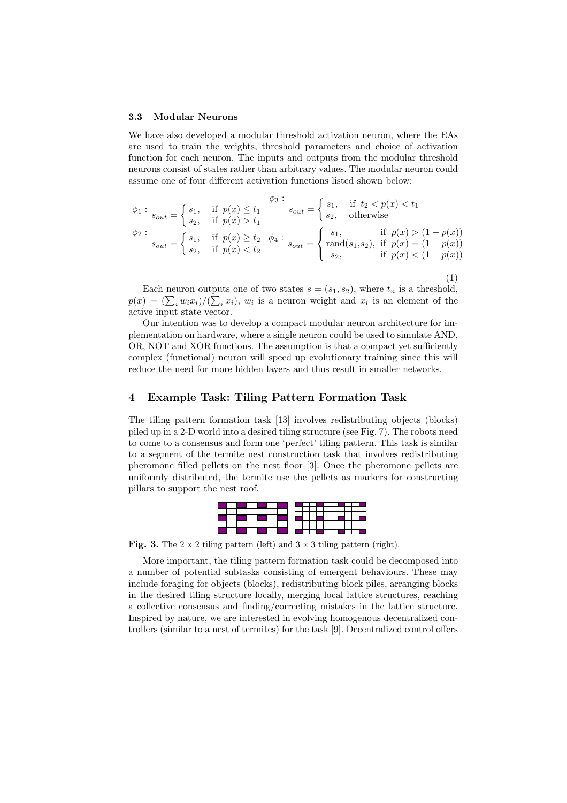#### 3.3 Modular Neurons

We have also developed a modular threshold activation neuron, where the EAs are used to train the weights, threshold parameters and choice of activation function for each neuron. The inputs and outputs from the modular threshold neurons consist of states rather than arbitrary values. The modular neuron could assume one of four different activation functions listed shown below:

$$
\phi_1: \begin{aligned}\n\phi_2: \phi_3: \phi_4: \phi_5: \phi_6: \phi_7: \phi_8: \phi_7: \phi_8: \phi_9: \phi_{10}: \\
\phi_9: \phi_{11}: \phi_{12}: \phi_{13}: \phi_{14}: \phi_{15}: \phi_{16}: \phi_{17}: \phi_{18}: \phi_{19}: \phi_{10}: \phi_{11}: \phi_{12}: \phi_{13}: \phi_{14}: \phi_{15}: \phi_{16}: \phi_{17}: \phi_{18}: \phi_{19}: \phi_{19}: \phi_{10}: \phi_{11}: \phi_{12}: \phi_{13}: \phi_{14}: \phi_{15}: \phi_{16}: \phi_{17}: \phi_{18}: \phi_{19}: \phi_{19}: \phi_{19}: \phi_{19}: \phi_{19}: \phi_{10}: \phi_{11}: \phi_{12}: \phi_{13}: \phi_{14}: \phi_{15}: \phi_{16}: \phi_{17}: \phi_{18}: \phi_{19}: \phi_{19}: \phi_{19}: \phi_{10}: \phi_{11}: \phi_{12}: \phi_{13}: \phi_{14}: \phi_{15}: \phi_{16}: \phi_{17}: \phi_{18}: \phi_{19}: \phi_{19}: \phi_{18}: \phi_{19}: \phi_{19}: \phi_{19}: \phi_{10}: \phi_{11}: \phi_{12}: \phi_{13}: \phi_{14}: \phi_{15}: \phi_{16}: \phi_{17}: \phi_{18}: \phi_{19}: \phi_{19}: \phi_{18}: \phi_{19}: \phi_{19}: \phi_{18}: \phi_{19}: \phi_{19}: \phi_{10}: \phi_{10}: \phi_{11}: \phi_{12}: \phi_{14}: \phi_{15}: \phi_{16}: \phi_{17}: \phi_{18}: \phi_{19}: \phi_{19}: \phi_{10}: \phi_{11}: \phi_{12}: \phi_{14}: \phi_{16}: \phi_{17}: \phi_{18}: \phi_{18}: \phi_{19}: \phi_{18}: \phi_{19}: \phi_{19}: \phi_{18}: \phi_{19}: \phi_{19}: \phi_{19}: \phi_{10}: \phi_{10}: \phi_{11}: \phi_{12}: \phi_{12}: \phi_{14}: \phi_{16}: \phi_{17}: \phi_{18}: \phi_{
$$

Each neuron outputs one of two states  $s = (s_1, s_2)$ , where  $t_n$  is a threshold, Each heuron outputs one of two states  $s = (s_1, s_2)$ , where  $t_n$  is a threshold,<br>  $p(x) = (\sum_i w_i x_i)/(\sum_i x_i)$ ,  $w_i$  is a neuron weight and  $x_i$  is an element of the active input state vector.

Our intention was to develop a compact modular neuron architecture for implementation on hardware, where a single neuron could be used to simulate AND, OR, NOT and XOR functions. The assumption is that a compact yet sufficiently complex (functional) neuron will speed up evolutionary training since this will reduce the need for more hidden layers and thus result in smaller networks.

### 4 Example Task: Tiling Pattern Formation Task

The tiling pattern formation task [13] involves redistributing objects (blocks) piled up in a 2-D world into a desired tiling structure (see Fig. 7). The robots need to come to a consensus and form one 'perfect' tiling pattern. This task is similar to a segment of the termite nest construction task that involves redistributing pheromone filled pellets on the nest floor [3]. Once the pheromone pellets are uniformly distributed, the termite use the pellets as markers for constructing pillars to support the nest roof.



Fig. 3. The  $2 \times 2$  tiling pattern (left) and  $3 \times 3$  tiling pattern (right).

More important, the tiling pattern formation task could be decomposed into a number of potential subtasks consisting of emergent behaviours. These may include foraging for objects (blocks), redistributing block piles, arranging blocks in the desired tiling structure locally, merging local lattice structures, reaching a collective consensus and finding/correcting mistakes in the lattice structure. Inspired by nature, we are interested in evolving homogenous decentralized controllers (similar to a nest of termites) for the task [9]. Decentralized control offers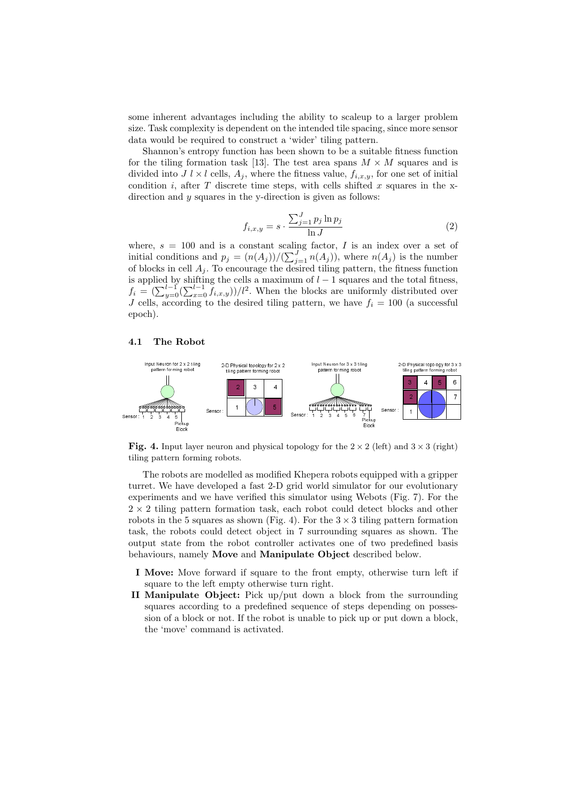some inherent advantages including the ability to scaleup to a larger problem size. Task complexity is dependent on the intended tile spacing, since more sensor data would be required to construct a 'wider' tiling pattern.

Shannon's entropy function has been shown to be a suitable fitness function for the tiling formation task [13]. The test area spans  $M \times M$  squares and is divided into  $J \ell \times \ell$  cells,  $A_j$ , where the fitness value,  $f_{i,x,y}$ , for one set of initial condition  $i$ , after  $T$  discrete time steps, with cells shifted  $x$  squares in the xdirection and y squares in the y-direction is given as follows:

$$
f_{i,x,y} = s \cdot \frac{\sum_{j=1}^{J} p_j \ln p_j}{\ln J} \tag{2}
$$

where,  $s = 100$  and is a constant scaling factor, I is an index over a set of where,  $s = 100$  and is a constant scaling factor, T is an index over a set of initial conditions and  $p_j = (n(A_j)) / (\sum_{j=1}^J n(A_j))$ , where  $n(A_j)$  is the number of blocks in cell  $A_j$ . To encourage the desired tiling pattern, the fitness function is applied by shifting the cells a maximum of  $l - 1$  squares and the total fitness, is applied by similing the cens a maximum of  $l-1$  squares and the total inness,<br>  $f_i = (\sum_{y=0}^{l-1} (\sum_{x=0}^{l-1} f_{i,x,y}))/l^2$ . When the blocks are uniformly distributed over J cells, according to the desired tiling pattern, we have  $f_i = 100$  (a successful epoch).

#### 4.1 The Robot



Fig. 4. Input layer neuron and physical topology for the  $2 \times 2$  (left) and  $3 \times 3$  (right) tiling pattern forming robots.

The robots are modelled as modified Khepera robots equipped with a gripper turret. We have developed a fast 2-D grid world simulator for our evolutionary experiments and we have verified this simulator using Webots (Fig. 7). For the  $2 \times 2$  tiling pattern formation task, each robot could detect blocks and other robots in the 5 squares as shown (Fig. 4). For the  $3 \times 3$  tiling pattern formation task, the robots could detect object in 7 surrounding squares as shown. The output state from the robot controller activates one of two predefined basis behaviours, namely Move and Manipulate Object described below.

- I Move: Move forward if square to the front empty, otherwise turn left if square to the left empty otherwise turn right.
- II Manipulate Object: Pick up/put down a block from the surrounding squares according to a predefined sequence of steps depending on possession of a block or not. If the robot is unable to pick up or put down a block, the 'move' command is activated.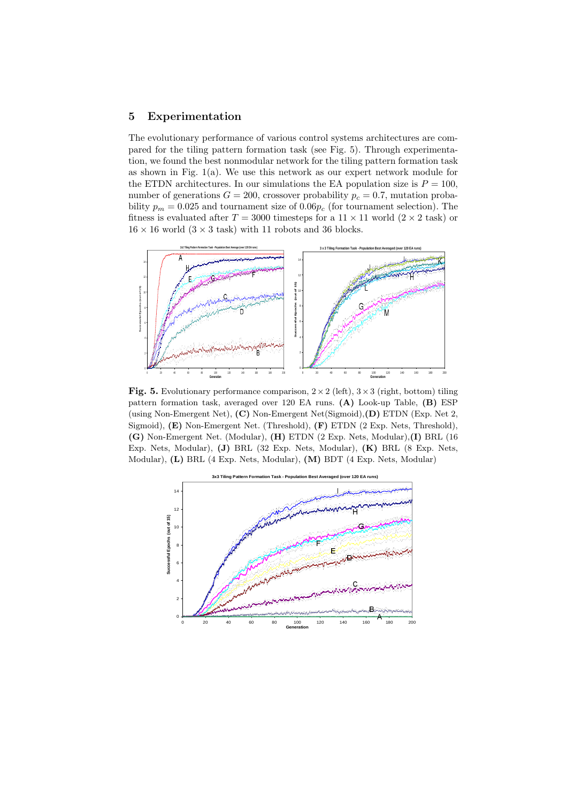#### 5 Experimentation

The evolutionary performance of various control systems architectures are compared for the tiling pattern formation task (see Fig. 5). Through experimentation, we found the best nonmodular network for the tiling pattern formation task as shown in Fig. 1(a). We use this network as our expert network module for the ETDN architectures. In our simulations the EA population size is  $P = 100$ , number of generations  $G = 200$ , crossover probability  $p_c = 0.7$ , mutation probability  $p_m = 0.025$  and tournament size of  $0.06p_c$  (for tournament selection). The fitness is evaluated after  $T = 3000$  timesteps for a  $11 \times 11$  world  $(2 \times 2$  task) or  $16 \times 16$  world  $(3 \times 3$  task) with 11 robots and 36 blocks.



Fig. 5. Evolutionary performance comparison,  $2 \times 2$  (left),  $3 \times 3$  (right, bottom) tiling pattern formation task, averaged over 120 EA runs. (A) Look-up Table, (B) ESP (using Non-Emergent Net), (C) Non-Emergent Net(Sigmoid),(D) ETDN (Exp. Net 2, Sigmoid), (E) Non-Emergent Net. (Threshold), (F) ETDN (2 Exp. Nets, Threshold), (G) Non-Emergent Net. (Modular), (H) ETDN (2 Exp. Nets, Modular),(I) BRL (16 Exp. Nets, Modular), (J) BRL (32 Exp. Nets, Modular), (K) BRL (8 Exp. Nets, Modular), (L) BRL (4 Exp. Nets, Modular), (M) BDT (4 Exp. Nets, Modular)

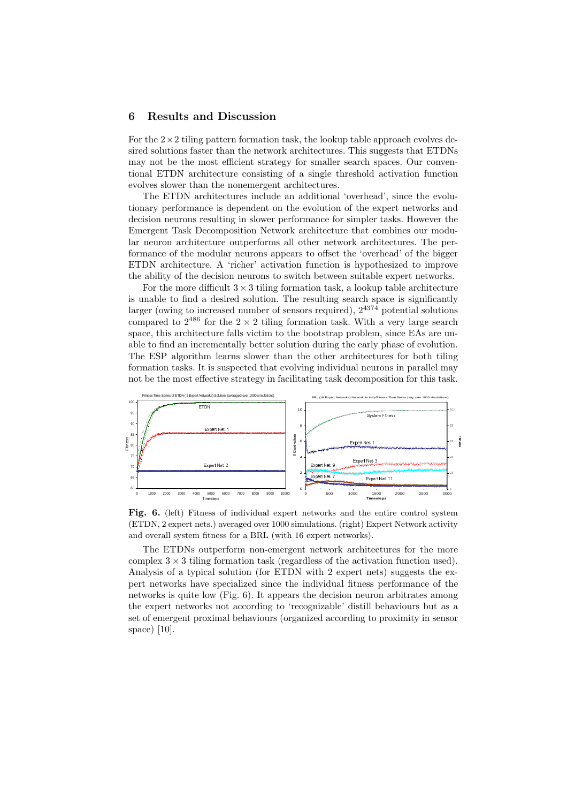## 6 Results and Discussion

For the  $2\times 2$  tiling pattern formation task, the lookup table approach evolves desired solutions faster than the network architectures. This suggests that ETDNs may not be the most efficient strategy for smaller search spaces. Our conventional ETDN architecture consisting of a single threshold activation function evolves slower than the nonemergent architectures.

The ETDN architectures include an additional 'overhead', since the evolutionary performance is dependent on the evolution of the expert networks and decision neurons resulting in slower performance for simpler tasks. However the Emergent Task Decomposition Network architecture that combines our modular neuron architecture outperforms all other network architectures. The performance of the modular neurons appears to offset the 'overhead' of the bigger ETDN architecture. A 'richer' activation function is hypothesized to improve the ability of the decision neurons to switch between suitable expert networks.

For the more difficult  $3 \times 3$  tiling formation task, a lookup table architecture is unable to find a desired solution. The resulting search space is significantly larger (owing to increased number of sensors required),  $2^{4374}$  potential solutions compared to  $2^{486}$  for the  $2 \times 2$  tiling formation task. With a very large search space, this architecture falls victim to the bootstrap problem, since EAs are unable to find an incrementally better solution during the early phase of evolution. The ESP algorithm learns slower than the other architectures for both tiling formation tasks. It is suspected that evolving individual neurons in parallel may not be the most effective strategy in facilitating task decomposition for this task.



Fig. 6. (left) Fitness of individual expert networks and the entire control system (ETDN, 2 expert nets.) averaged over 1000 simulations. (right) Expert Network activity and overall system fitness for a BRL (with 16 expert networks).

The ETDNs outperform non-emergent network architectures for the more complex  $3 \times 3$  tiling formation task (regardless of the activation function used). Analysis of a typical solution (for ETDN with 2 expert nets) suggests the expert networks have specialized since the individual fitness performance of the networks is quite low (Fig. 6). It appears the decision neuron arbitrates among the expert networks not according to 'recognizable' distill behaviours but as a set of emergent proximal behaviours (organized according to proximity in sensor space) [10].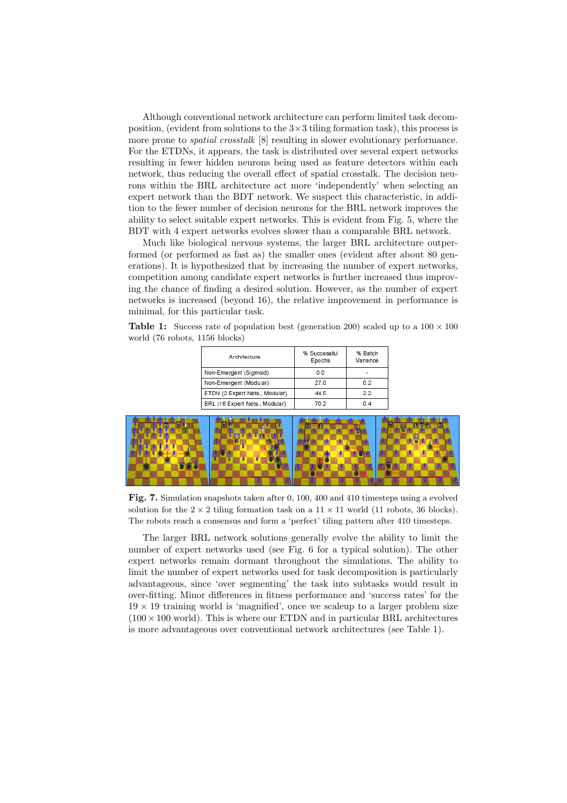Although conventional network architecture can perform limited task decomposition, (evident from solutions to the  $3\times3$  tiling formation task), this process is more prone to *spatial crosstalk* [8] resulting in slower evolutionary performance. For the ETDNs, it appears, the task is distributed over several expert networks resulting in fewer hidden neurons being used as feature detectors within each network, thus reducing the overall effect of spatial crosstalk. The decision neurons within the BRL architecture act more 'independently' when selecting an expert network than the BDT network. We suspect this characteristic, in addition to the fewer number of decision neurons for the BRL network improves the ability to select suitable expert networks. This is evident from Fig. 5, where the BDT with 4 expert networks evolves slower than a comparable BRL network.

Much like biological nervous systems, the larger BRL architecture outperformed (or performed as fast as) the smaller ones (evident after about 80 generations). It is hypothesized that by increasing the number of expert networks, competition among candidate expert networks is further increased thus improving the chance of finding a desired solution. However, as the number of expert networks is increased (beyond 16), the relative improvement in performance is minimal, for this particular task.

**Table 1:** Success rate of population best (generation 200) scaled up to a  $100 \times 100$ world (76 robots, 1156 blocks)

| Architecture                   | % Successful<br>Epochs | % Batch<br>Variance |
|--------------------------------|------------------------|---------------------|
| Non-Emergent (Sigmoid)         | 00                     | $\blacksquare$      |
| Non-Emergent (Modular)         | 270                    | 0 <sub>2</sub>      |
| ETDN (2 Expert Nets., Modular) | 445                    | 22                  |
| BRL (16 Expert Nets, Modular)  | 70 2                   | 04                  |



Fig. 7. Simulation snapshots taken after 0, 100, 400 and 410 timesteps using a evolved solution for the  $2 \times 2$  tiling formation task on a  $11 \times 11$  world (11 robots, 36 blocks). The robots reach a consensus and form a 'perfect' tiling pattern after 410 timesteps.

The larger BRL network solutions generally evolve the ability to limit the number of expert networks used (see Fig. 6 for a typical solution). The other expert networks remain dormant throughout the simulations. The ability to limit the number of expert networks used for task decomposition is particularly advantageous, since 'over segmenting' the task into subtasks would result in over-fitting. Minor differences in fitness performance and 'success rates' for the  $19 \times 19$  training world is 'magnified', once we scaleup to a larger problem size  $(100 \times 100$  world). This is where our ETDN and in particular BRL architectures is more advantageous over conventional network architectures (see Table 1).